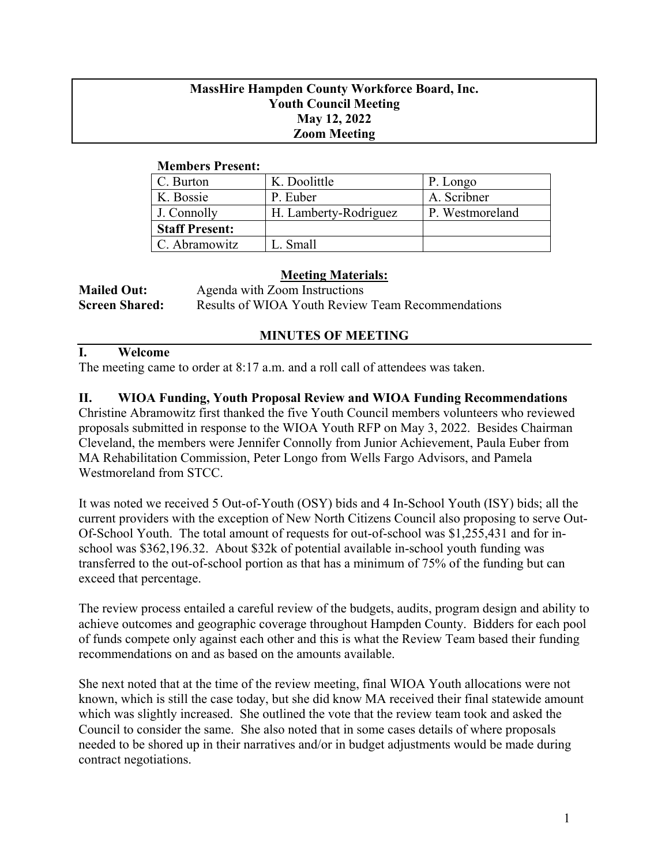## **MassHire Hampden County Workforce Board, Inc. Youth Council Meeting May 12, 2022 Zoom Meeting**

### **Members Present:**

| C. Burton             | K. Doolittle          | P. Longo        |
|-----------------------|-----------------------|-----------------|
| K. Bossie             | P. Euber              | A. Scribner     |
| J. Connolly           | H. Lamberty-Rodriguez | P. Westmoreland |
| <b>Staff Present:</b> |                       |                 |
| C. Abramowitz         | L. Small              |                 |

## **Meeting Materials:**

| <b>Mailed Out:</b>    | Agenda with Zoom Instructions                     |
|-----------------------|---------------------------------------------------|
| <b>Screen Shared:</b> | Results of WIOA Youth Review Team Recommendations |

# **MINUTES OF MEETING**

### **I. Welcome**

The meeting came to order at 8:17 a.m. and a roll call of attendees was taken.

# **II. WIOA Funding, Youth Proposal Review and WIOA Funding Recommendations**

Christine Abramowitz first thanked the five Youth Council members volunteers who reviewed proposals submitted in response to the WIOA Youth RFP on May 3, 2022. Besides Chairman Cleveland, the members were Jennifer Connolly from Junior Achievement, Paula Euber from MA Rehabilitation Commission, Peter Longo from Wells Fargo Advisors, and Pamela Westmoreland from STCC.

It was noted we received 5 Out-of-Youth (OSY) bids and 4 In-School Youth (ISY) bids; all the current providers with the exception of New North Citizens Council also proposing to serve Out-Of-School Youth. The total amount of requests for out-of-school was \$1,255,431 and for inschool was \$362,196.32. About \$32k of potential available in-school youth funding was transferred to the out-of-school portion as that has a minimum of 75% of the funding but can exceed that percentage.

The review process entailed a careful review of the budgets, audits, program design and ability to achieve outcomes and geographic coverage throughout Hampden County. Bidders for each pool of funds compete only against each other and this is what the Review Team based their funding recommendations on and as based on the amounts available.

She next noted that at the time of the review meeting, final WIOA Youth allocations were not known, which is still the case today, but she did know MA received their final statewide amount which was slightly increased. She outlined the vote that the review team took and asked the Council to consider the same. She also noted that in some cases details of where proposals needed to be shored up in their narratives and/or in budget adjustments would be made during contract negotiations.